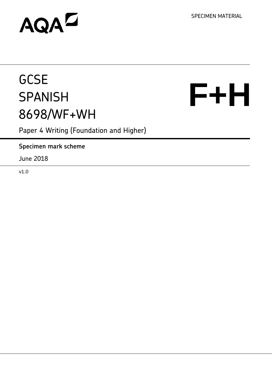SPECIMEN MATERIAL

# AQAD

# **GCSE SPANISH** 8698/WF+WH

**F+H** 

Paper 4 Writing (Foundation and Higher)

**Specimen mark scheme**

June 2018

v1.0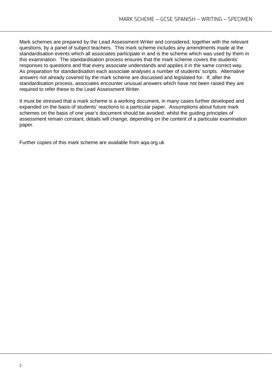Mark schemes are prepared by the Lead Assessment Writer and considered, together with the relevant questions, by a panel of subject teachers. This mark scheme includes any amendments made at the standardisation events which all associates participate in and is the scheme which was used by them in this examination. The standardisation process ensures that the mark scheme covers the students' responses to questions and that every associate understands and applies it in the same correct way. As preparation for standardisation each associate analyses a number of students' scripts. Alternative answers not already covered by the mark scheme are discussed and legislated for. If, after the standardisation process, associates encounter unusual answers which have not been raised they are required to refer these to the Lead Assessment Writer.

It must be stressed that a mark scheme is a working document, in many cases further developed and expanded on the basis of students' reactions to a particular paper. Assumptions about future mark schemes on the basis of one year's document should be avoided; whilst the guiding principles of assessment remain constant, details will change, depending on the content of a particular examination paper.

Further copies of this mark scheme are available from aqa.org.uk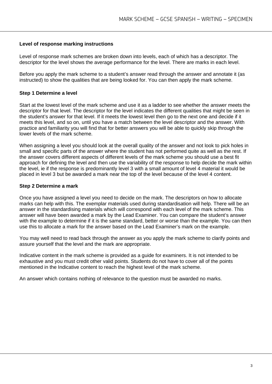#### **Level of response marking instructions**

Level of response mark schemes are broken down into levels, each of which has a descriptor. The descriptor for the level shows the average performance for the level. There are marks in each level.

Before you apply the mark scheme to a student's answer read through the answer and annotate it (as instructed) to show the qualities that are being looked for. You can then apply the mark scheme.

# **Step 1 Determine a level**

Start at the lowest level of the mark scheme and use it as a ladder to see whether the answer meets the descriptor for that level. The descriptor for the level indicates the different qualities that might be seen in the student's answer for that level. If it meets the lowest level then go to the next one and decide if it meets this level, and so on, until you have a match between the level descriptor and the answer. With practice and familiarity you will find that for better answers you will be able to quickly skip through the lower levels of the mark scheme.

When assigning a level you should look at the overall quality of the answer and not look to pick holes in small and specific parts of the answer where the student has not performed quite as well as the rest. If the answer covers different aspects of different levels of the mark scheme you should use a best fit approach for defining the level and then use the variability of the response to help decide the mark within the level, ie if the response is predominantly level 3 with a small amount of level 4 material it would be placed in level 3 but be awarded a mark near the top of the level because of the level 4 content.

#### **Step 2 Determine a mark**

Once you have assigned a level you need to decide on the mark. The descriptors on how to allocate marks can help with this. The exemplar materials used during standardisation will help. There will be an answer in the standardising materials which will correspond with each level of the mark scheme. This answer will have been awarded a mark by the Lead Examiner. You can compare the student's answer with the example to determine if it is the same standard, better or worse than the example. You can then use this to allocate a mark for the answer based on the Lead Examiner's mark on the example.

You may well need to read back through the answer as you apply the mark scheme to clarify points and assure yourself that the level and the mark are appropriate.

Indicative content in the mark scheme is provided as a guide for examiners. It is not intended to be exhaustive and you must credit other valid points. Students do not have to cover all of the points mentioned in the Indicative content to reach the highest level of the mark scheme.

An answer which contains nothing of relevance to the question must be awarded no marks.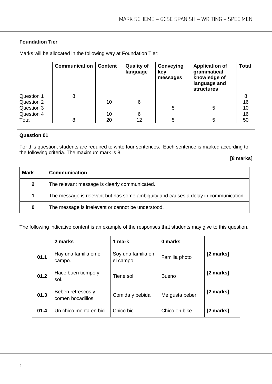# **Foundation Tier**

Marks will be allocated in the following way at Foundation Tier:

|            | <b>Communication</b> | <b>Content</b> | <b>Quality of</b><br>language | Conveying<br>key<br>messages | <b>Application of</b><br>grammatical<br>knowledge of<br>language and<br><b>structures</b> | <b>Total</b> |
|------------|----------------------|----------------|-------------------------------|------------------------------|-------------------------------------------------------------------------------------------|--------------|
| Question 1 |                      |                |                               |                              |                                                                                           | 8            |
| Question 2 |                      | 10             | 6                             |                              |                                                                                           | 16           |
| Question 3 |                      |                |                               | 5                            | 5                                                                                         | 10           |
| Question 4 |                      | 10             | 6                             |                              |                                                                                           | 16           |
| Total      |                      | 20             | 12                            | 5                            | 5                                                                                         | 50           |

# **Question 01**

For this question, students are required to write four sentences. Each sentence is marked according to the following criteria. The maximum mark is 8.

**[8 marks]**

| <b>Mark</b>  | <b>Communication</b>                                                                |
|--------------|-------------------------------------------------------------------------------------|
| $\mathbf{2}$ | The relevant message is clearly communicated.                                       |
| 1            | The message is relevant but has some ambiguity and causes a delay in communication. |
| 0            | The message is irrelevant or cannot be understood.                                  |

The following indicative content is an example of the responses that students may give to this question.

|      | 2 marks                                | 1 mark                         | 0 marks        |           |
|------|----------------------------------------|--------------------------------|----------------|-----------|
| 01.1 | Hay una familia en el<br>campo.        | Soy una familia en<br>el campo | Familia photo  | [2 marks] |
| 01.2 | Hace buen tiempo y<br>sol.             | Tiene sol                      | <b>Bueno</b>   | [2 marks] |
| 01.3 | Beben refrescos y<br>comen bocadillos. | Comida y bebida                | Me gusta beber | [2 marks] |
| 01.4 | Un chico monta en bici.                | Chico bici                     | Chico en bike  | [2 marks] |
|      |                                        |                                |                |           |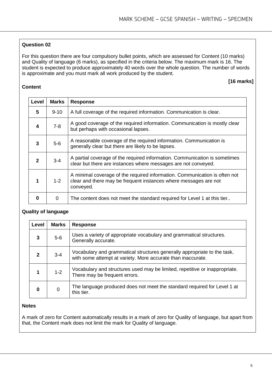For this question there are four compulsory bullet points, which are assessed for Content (10 marks) and Quality of language (6 marks), as specified in the criteria below. The maximum mark is 16. The student is expected to produce approximately 40 words over the whole question. The number of words is approximate and you must mark all work produced by the student.

#### **[16 marks]**

# **Content**

| Level          | <b>Marks</b> | <b>Response</b>                                                                                                                                             |
|----------------|--------------|-------------------------------------------------------------------------------------------------------------------------------------------------------------|
| 5              | $9 - 10$     | A full coverage of the required information. Communication is clear.                                                                                        |
| 4              | $7 - 8$      | A good coverage of the required information. Communication is mostly clear<br>but perhaps with occasional lapses.                                           |
| 3              | $5-6$        | A reasonable coverage of the required information. Communication is<br>generally clear but there are likely to be lapses.                                   |
| $\mathfrak{p}$ | $3-4$        | A partial coverage of the required information. Communication is sometimes<br>clear but there are instances where messages are not conveyed.                |
| 1              | $1 - 2$      | A minimal coverage of the required information. Communication is often not<br>clear and there may be frequent instances where messages are not<br>conveyed. |
| 0              | $\Omega$     | The content does not meet the standard required for Level 1 at this tier                                                                                    |

# **Quality of language**

| Level        | <b>Marks</b> | <b>Response</b>                                                                                                                          |
|--------------|--------------|------------------------------------------------------------------------------------------------------------------------------------------|
| 3            | $5-6$        | Uses a variety of appropriate vocabulary and grammatical structures.<br>Generally accurate.                                              |
| $\mathbf{c}$ | $3 - 4$      | Vocabulary and grammatical structures generally appropriate to the task,<br>with some attempt at variety. More accurate than inaccurate. |
|              | $1 - 2$      | Vocabulary and structures used may be limited, repetitive or inappropriate.<br>There may be frequent errors.                             |
| O            | 0            | The language produced does not meet the standard required for Level 1 at<br>this tier.                                                   |

# **Notes**

A mark of zero for Content automatically results in a mark of zero for Quality of language, but apart from that, the Content mark does not limit the mark for Quality of language.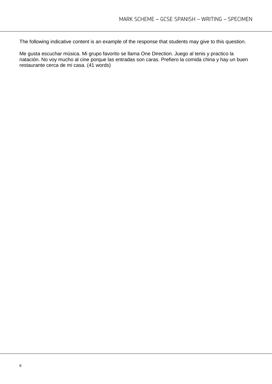The following indicative content is an example of the response that students may give to this question.

Me gusta escuchar música. Mi grupo favorito se llama One Direction. Juego al tenis y practico la natación. No voy mucho al cine porque las entradas son caras. Prefiero la comida china y hay un buen restaurante cerca de mi casa. (41 words)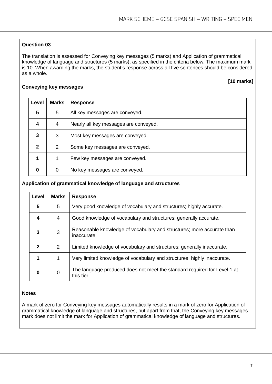The translation is assessed for Conveying key messages (5 marks) and Application of grammatical knowledge of language and structures (5 marks), as specified in the criteria below. The maximum mark is 10. When awarding the marks, the student's response across all five sentences should be considered as a whole.

#### **[10 marks]**

#### **Conveying key messages**

| Level | <b>Marks</b>  | <b>Response</b>                       |
|-------|---------------|---------------------------------------|
| 5     | 5             | All key messages are conveyed.        |
| 4     | 4             | Nearly all key messages are conveyed. |
| 3     | 3             | Most key messages are conveyed.       |
| 2     | $\mathcal{P}$ | Some key messages are conveyed.       |
|       |               | Few key messages are conveyed.        |
| 0     | 0             | No key messages are conveyed.         |

#### **Application of grammatical knowledge of language and structures**

| Level        | <b>Marks</b> | <b>Response</b>                                                                        |
|--------------|--------------|----------------------------------------------------------------------------------------|
| 5            | 5            | Very good knowledge of vocabulary and structures; highly accurate.                     |
| 4            | 4            | Good knowledge of vocabulary and structures; generally accurate.                       |
| 3            | 3            | Reasonable knowledge of vocabulary and structures; more accurate than<br>inaccurate.   |
| $\mathbf{2}$ | 2            | Limited knowledge of vocabulary and structures; generally inaccurate.                  |
| 1            | 1            | Very limited knowledge of vocabulary and structures; highly inaccurate.                |
| 0            | 0            | The language produced does not meet the standard required for Level 1 at<br>this tier. |

# **Notes**

A mark of zero for Conveying key messages automatically results in a mark of zero for Application of grammatical knowledge of language and structures, but apart from that, the Conveying key messages mark does not limit the mark for Application of grammatical knowledge of language and structures.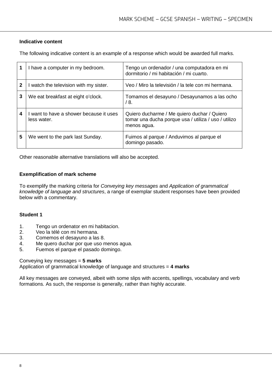# **Indicative content**

The following indicative content is an example of a response which would be awarded full marks.

|   | I have a computer in my bedroom.                     | Tengo un ordenador / una computadora en mi<br>dormitorio / mi habitación / mi cuarto.                              |
|---|------------------------------------------------------|--------------------------------------------------------------------------------------------------------------------|
| 2 | I watch the television with my sister.               | Veo / Miro la televisión / la tele con mi hermana.                                                                 |
| 3 | We eat breakfast at eight o'clock.                   | Tomamos el desayuno / Desayunamos a las ocho<br>/ 8.                                                               |
| 4 | want to have a shower because it uses<br>less water. | Quiero ducharme / Me quiero duchar / Quiero<br>tomar una ducha porque usa / utiliza / uso / utilizo<br>menos agua. |
| 5 | We went to the park last Sunday.                     | Fuimos al parque / Anduvimos al parque el<br>domingo pasado.                                                       |

Other reasonable alternative translations will also be accepted.

#### **Exemplification of mark scheme**

To exemplify the marking criteria for *Conveying key messages* and *Application of grammatical knowledge of language and structures*, a range of exemplar student responses have been provided below with a commentary.

#### **Student 1**

- 1. Tengo un ordenator en mi habitacion.<br>2. Veo la télé con mi hermana.
- 2. Veo la télé con mi hermana.<br>3. Comemos el desavuno a las
- 3. Comemos el desayuno a las 8.
- 4. Me quero duchar por que uso menos agua.<br>5. Fuemos el parque el pasado domingo.
- 5. Fuemos el parque el pasado domingo.

#### Conveying key messages = **5 marks**

Application of grammatical knowledge of language and structures = **4 marks**

All key messages are conveyed, albeit with some slips with accents, spellings, vocabulary and verb formations. As such, the response is generally, rather than highly accurate.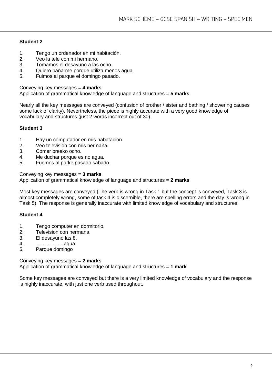# **Student 2**

- 1. Tengo un ordenador en mi habitación.
- 2. Veo la tele con mi hermano.<br>3. Tomamos el desavuno a las
- 3. Tomamos el desayuno a las ocho.
- 4. Quiero bañarme porque utiliza menos agua.<br>5. Fuimos al parque el domingo pasado.
- 5. Fuimos al parque el domingo pasado.

Conveying key messages = **4 marks**

Application of grammatical knowledge of language and structures = **5 marks**

Nearly all the key messages are conveyed (confusion of brother / sister and bathing / showering causes some lack of clarity). Nevertheless, the piece is highly accurate with a very good knowledge of vocabulary and structures (just 2 words incorrect out of 30).

# **Student 3**

- 1. Hay un computador en mis habatacion.
- 2. Veo television con mis hermaña.
- 3. Comer breako ocho.<br>4. Me duchar porque es
- 4. Me duchar porque es no agua.<br>5. Fuemos al parke pasado sabac
- 5. Fuemos al parke pasado sabado.

Conveying key messages = **3 marks**

Application of grammatical knowledge of language and structures = **2 marks**

Most key messages are conveyed (The verb is wrong in Task 1 but the concept is conveyed, Task 3 is almost completely wrong, some of task 4 is discernible, there are spelling errors and the day is wrong in Task 5). The response is generally inaccurate with limited knowledge of vocabulary and structures.

# **Student 4**

- 1. Tengo computer en dormitorio.
- 2. Television con hermana.<br>3. El desayuno las 8.
- 3. El desayuno las 8.
- 4. ……………..aqua
- Parque domingo

Conveying key messages = **2 marks**

Application of grammatical knowledge of language and structures = **1 mark**

Some key messages are conveyed but there is a very limited knowledge of vocabulary and the response is highly inaccurate, with just one verb used throughout.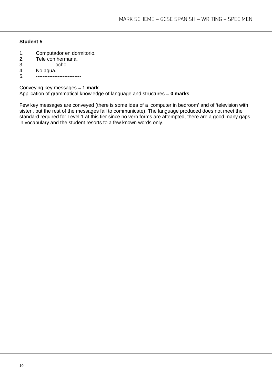# **Student 5**

- 1. Computador en dormitorio.<br>2. Tele con hermana.
- 2. Tele con hermana.<br>3. ---------- ocho.
- 3. ---------- ocho.<br>4. No agua.
- 4. No aqua.<br>5. -------------
- 5. ---------------------------

Conveying key messages = **1 mark** Application of grammatical knowledge of language and structures = **0 marks**

Few key messages are conveyed (there is some idea of a 'computer in bedroom' and of 'television with sister', but the rest of the messages fail to communicate). The language produced does not meet the standard required for Level 1 at this tier since no verb forms are attempted, there are a good many gaps in vocabulary and the student resorts to a few known words only.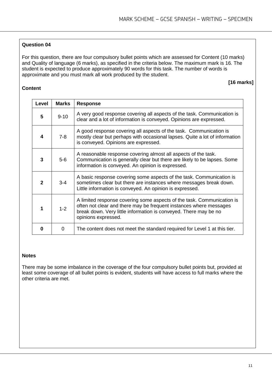For this question, there are four compulsory bullet points which are assessed for Content (10 marks) and Quality of language (6 marks), as specified in the criteria below. The maximum mark is 16. The student is expected to produce approximately 90 words for this task. The number of words is approximate and you must mark all work produced by the student.

# **Content**

 **[16 marks]**

| Level | <b>Marks</b> | <b>Response</b>                                                                                                                                                                                                                         |
|-------|--------------|-----------------------------------------------------------------------------------------------------------------------------------------------------------------------------------------------------------------------------------------|
| 5     | $9 - 10$     | A very good response covering all aspects of the task. Communication is<br>clear and a lot of information is conveyed. Opinions are expressed.                                                                                          |
| 4     | $7-8$        | A good response covering all aspects of the task. Communication is<br>mostly clear but perhaps with occasional lapses. Quite a lot of information<br>is conveyed. Opinions are expressed.                                               |
| 3     | $5-6$        | A reasonable response covering almost all aspects of the task.<br>Communication is generally clear but there are likely to be lapses. Some<br>information is conveyed. An opinion is expressed.                                         |
| 2     | $3 - 4$      | A basic response covering some aspects of the task. Communication is<br>sometimes clear but there are instances where messages break down.<br>Little information is conveyed. An opinion is expressed.                                  |
| 1     | $1 - 2$      | A limited response covering some aspects of the task. Communication is<br>often not clear and there may be frequent instances where messages<br>break down. Very little information is conveyed. There may be no<br>opinions expressed. |
| n     | O            | The content does not meet the standard required for Level 1 at this tier.                                                                                                                                                               |

#### **Notes**

There may be some imbalance in the coverage of the four compulsory bullet points but, provided at least some coverage of all bullet points is evident, students will have access to full marks where the other criteria are met.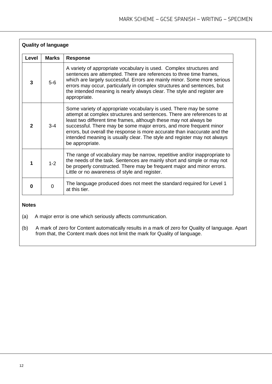| <b>Quality of language</b> |              |                                                                                                                                                                                                                                                                                                                                                                                                                                                                      |  |
|----------------------------|--------------|----------------------------------------------------------------------------------------------------------------------------------------------------------------------------------------------------------------------------------------------------------------------------------------------------------------------------------------------------------------------------------------------------------------------------------------------------------------------|--|
| Level                      | <b>Marks</b> | <b>Response</b>                                                                                                                                                                                                                                                                                                                                                                                                                                                      |  |
| 3                          | $5-6$        | A variety of appropriate vocabulary is used. Complex structures and<br>sentences are attempted. There are references to three time frames,<br>which are largely successful. Errors are mainly minor. Some more serious<br>errors may occur, particularly in complex structures and sentences, but<br>the intended meaning is nearly always clear. The style and register are<br>appropriate.                                                                         |  |
| $\mathbf{2}$               | $3 - 4$      | Some variety of appropriate vocabulary is used. There may be some<br>attempt at complex structures and sentences. There are references to at<br>least two different time frames, although these may not always be<br>successful. There may be some major errors, and more frequent minor<br>errors, but overall the response is more accurate than inaccurate and the<br>intended meaning is usually clear. The style and register may not always<br>be appropriate. |  |
|                            | $1 - 2$      | The range of vocabulary may be narrow, repetitive and/or inappropriate to<br>the needs of the task. Sentences are mainly short and simple or may not<br>be properly constructed. There may be frequent major and minor errors.<br>Little or no awareness of style and register.                                                                                                                                                                                      |  |
| 0                          | $\Omega$     | The language produced does not meet the standard required for Level 1<br>at this tier.                                                                                                                                                                                                                                                                                                                                                                               |  |

# **Notes**

(a) A major error is one which seriously affects communication.

(b) A mark of zero for Content automatically results in a mark of zero for Quality of language. Apart from that, the Content mark does not limit the mark for Quality of language.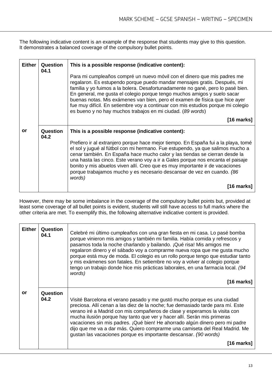The following indicative content is an example of the response that students may give to this question. It demonstrates a balanced coverage of the compulsory bullet points.

| <b>Either</b> | Question<br>04.1 | This is a possible response (indicative content):<br>Para mi cumpleaños compré un nuevo móvil con el dinero que mis padres me<br>regalaron. Es estupendo porque puedo mandar mensajes gratis. Después, mi<br>familia y yo fuimos a la bolera. Desafortunadamente no gané, pero lo pasé bien.<br>En general, me gusta el colegio porque tengo muchos amigos y suelo sacar<br>buenas notas. Mis exámenes van bien, pero el examen de física que hice ayer<br>fue muy difícil. En setiembre voy a continuar con mis estudios porque mi colegio<br>es bueno y no hay muchos trabajos en mi ciudad. (89 words) |
|---------------|------------------|-----------------------------------------------------------------------------------------------------------------------------------------------------------------------------------------------------------------------------------------------------------------------------------------------------------------------------------------------------------------------------------------------------------------------------------------------------------------------------------------------------------------------------------------------------------------------------------------------------------|
|               |                  | $[16$ marks]                                                                                                                                                                                                                                                                                                                                                                                                                                                                                                                                                                                              |
| or            | Question<br>04.2 | This is a possible response (indicative content):<br>Prefiero ir al extranjero porque hace mejor tiempo. En España fui a la playa, tomé<br>el sol y jugué al fútbol con mi hermano. Fue estupendo, ya que salimos mucho a<br>cenar también. En España hace mucho calor y las tiendas se cierran desde la                                                                                                                                                                                                                                                                                                  |
|               |                  | una hasta las cinco. Este verano voy a ir a Gales porque nos encanta el paisaje<br>bonito y mis abuelos viven allí. Creo que es muy importante ir de vacaciones<br>porque trabajamos mucho y es necesario descansar de vez en cuando. (86<br>words)                                                                                                                                                                                                                                                                                                                                                       |
|               |                  | [16 marks]                                                                                                                                                                                                                                                                                                                                                                                                                                                                                                                                                                                                |

However, there may be some imbalance in the coverage of the compulsory bullet points but, provided at least some coverage of all bullet points is evident, students will still have access to full marks where the other criteria are met. To exemplify this, the following alternative indicative content is provided.

| <b>Either</b> | Question<br>04.1 | Celebré mi último cumpleaños con una gran fiesta en mi casa. Lo pasé bomba<br>porque vinieron mis amigos y también mi familia. Había comida y refrescos y<br>pasamos toda la noche charlando y bailando. ¡Qué risa! Mis amigos me<br>regalaron dinero y el sábado voy a comprarme nueva ropa que me gusta mucho<br>porque está muy de moda. El colegio es un rollo porque tengo que estudiar tanto<br>y mis exámenes son fatales. En setiembre no voy a volver al colegio porque<br>tengo un trabajo donde hice mis prácticas laborales, en una farmacia local. (94<br>words)<br>$[16$ marks] |
|---------------|------------------|-----------------------------------------------------------------------------------------------------------------------------------------------------------------------------------------------------------------------------------------------------------------------------------------------------------------------------------------------------------------------------------------------------------------------------------------------------------------------------------------------------------------------------------------------------------------------------------------------|
| or            | Question<br>04.2 | Visité Barcelona el verano pasado y me gustó mucho porque es una ciudad<br>preciosa. Allí cenan a las diez de la noche; fue demasiado tarde para mí. Este<br>verano iré a Madrid con mis compañeros de clase y esperamos la visita con<br>mucha ilusión porque hay tanto que ver y hacer allí. Serán mis primeras<br>vacaciones sin mis padres. ¡Qué bien! He ahorrado algún dinero pero mi padre<br>dijo que me va a dar más. Quiero comprarme una camiseta del Real Madrid. Me<br>gustan las vacaciones porque es importante descansar. (90 words)<br>$[16$ marks]                          |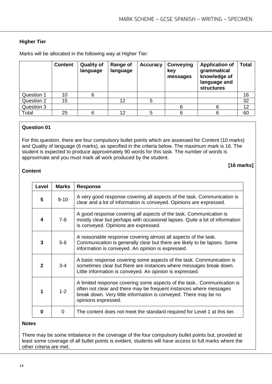**[16 marks]**

# **Higher Tier**

Marks will be allocated in the following way at Higher Tier:

|            | <b>Content</b> | <b>Quality of</b><br>language | Range of<br>language | <b>Accuracy</b> | Conveying<br>key<br>messages | <b>Application of</b><br>grammatical<br>knowledge of<br>language and<br><b>structures</b> | <b>Total</b> |
|------------|----------------|-------------------------------|----------------------|-----------------|------------------------------|-------------------------------------------------------------------------------------------|--------------|
| Question 1 | 10             |                               |                      |                 |                              |                                                                                           | 16           |
| Question 2 | 15             |                               | 12                   | 5               |                              |                                                                                           | 32           |
| Question 3 |                |                               |                      |                 |                              |                                                                                           | 12           |
| Total      | 25             |                               | 12                   | 5               |                              | 6                                                                                         | 60           |

# **Question 01**

For this question, there are four compulsory bullet points which are assessed for Content (10 marks) and Quality of language (6 marks), as specified in the criteria below. The maximum mark is 16. The student is expected to produce approximately 90 words for this task. The number of words is approximate and you must mark all work produced by the student.

#### **Content**

| Level | <b>Marks</b> | <b>Response</b>                                                                                                                                                                                                                        |
|-------|--------------|----------------------------------------------------------------------------------------------------------------------------------------------------------------------------------------------------------------------------------------|
| 5     | $9 - 10$     | A very good response covering all aspects of the task. Communication is<br>clear and a lot of information is conveyed. Opinions are expressed.                                                                                         |
| 4     | $7 - 8$      | A good response covering all aspects of the task. Communication is<br>mostly clear but perhaps with occasional lapses. Quite a lot of information<br>is conveyed. Opinions are expressed.                                              |
| 3     | $5-6$        | A reasonable response covering almost all aspects of the task.<br>Communication is generally clear but there are likely to be lapses. Some<br>information is conveyed. An opinion is expressed.                                        |
| 2     | $3 - 4$      | A basic response covering some aspects of the task. Communication is<br>sometimes clear but there are instances where messages break down.<br>Little information is conveyed. An opinion is expressed.                                 |
| 1     | $1 - 2$      | A limited response covering some aspects of the task Communication is<br>often not clear and there may be frequent instances where messages<br>break down. Very little information is conveyed. There may be no<br>opinions expressed. |
| ŋ     | $\Omega$     | The content does not meet the standard required for Level 1 at this tier.                                                                                                                                                              |

#### **Notes**

There may be some imbalance in the coverage of the four compulsory bullet points but, provided at least some coverage of all bullet points is evident, students will have access to full marks where the other criteria are met.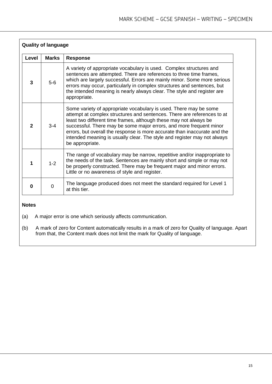|              | <b>Quality of language</b> |                                                                                                                                                                                                                                                                                                                                                                                                                                                                      |  |
|--------------|----------------------------|----------------------------------------------------------------------------------------------------------------------------------------------------------------------------------------------------------------------------------------------------------------------------------------------------------------------------------------------------------------------------------------------------------------------------------------------------------------------|--|
| Level        | <b>Marks</b>               | <b>Response</b>                                                                                                                                                                                                                                                                                                                                                                                                                                                      |  |
| 3            | $5-6$                      | A variety of appropriate vocabulary is used. Complex structures and<br>sentences are attempted. There are references to three time frames,<br>which are largely successful. Errors are mainly minor. Some more serious<br>errors may occur, particularly in complex structures and sentences, but<br>the intended meaning is nearly always clear. The style and register are<br>appropriate.                                                                         |  |
| $\mathbf{2}$ | $3 - 4$                    | Some variety of appropriate vocabulary is used. There may be some<br>attempt at complex structures and sentences. There are references to at<br>least two different time frames, although these may not always be<br>successful. There may be some major errors, and more frequent minor<br>errors, but overall the response is more accurate than inaccurate and the<br>intended meaning is usually clear. The style and register may not always<br>be appropriate. |  |
|              | $1 - 2$                    | The range of vocabulary may be narrow, repetitive and/or inappropriate to<br>the needs of the task. Sentences are mainly short and simple or may not<br>be properly constructed. There may be frequent major and minor errors.<br>Little or no awareness of style and register.                                                                                                                                                                                      |  |
| 0            | $\Omega$                   | The language produced does not meet the standard required for Level 1<br>at this tier.                                                                                                                                                                                                                                                                                                                                                                               |  |

# **Notes**

(a) A major error is one which seriously affects communication.

(b) A mark of zero for Content automatically results in a mark of zero for Quality of language. Apart from that, the Content mark does not limit the mark for Quality of language.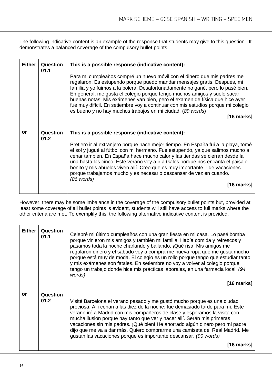The following indicative content is an example of the response that students may give to this question. It demonstrates a balanced coverage of the compulsory bullet points.

| <b>Either</b> | Question<br>01.1 | This is a possible response (indicative content):<br>Para mi cumpleaños compré un nuevo móvil con el dinero que mis padres me<br>regalaron. Es estupendo porque puedo mandar mensajes gratis. Después, mi<br>familia y yo fuimos a la bolera. Desafortunadamente no gané, pero lo pasé bien.<br>En general, me gusta el colegio porque tengo muchos amigos y suelo sacar<br>buenas notas. Mis exámenes van bien, pero el examen de física que hice ayer<br>fue muy difícil. En setiembre voy a continuar con mis estudios porque mi colegio<br>es bueno y no hay muchos trabajos en mi ciudad. (89 words)<br>$[16$ marks] |
|---------------|------------------|---------------------------------------------------------------------------------------------------------------------------------------------------------------------------------------------------------------------------------------------------------------------------------------------------------------------------------------------------------------------------------------------------------------------------------------------------------------------------------------------------------------------------------------------------------------------------------------------------------------------------|
| or            | Question<br>01.2 | This is a possible response (indicative content):<br>Prefiero ir al extranjero porque hace mejor tiempo. En España fui a la playa, tomé<br>el sol y jugué al fútbol con mi hermano. Fue estupendo, ya que salimos mucho a<br>cenar también. En España hace mucho calor y las tiendas se cierran desde la<br>una hasta las cinco. Este verano voy a ir a Gales porque nos encanta el paisaje<br>bonito y mis abuelos viven allí. Creo que es muy importante ir de vacaciones<br>porque trabajamos mucho y es necesario descansar de vez en cuando.<br>$(86$ words)<br>[16 marks]                                           |

However, there may be some imbalance in the coverage of the compulsory bullet points but, provided at least some coverage of all bullet points is evident, students will still have access to full marks where the other criteria are met. To exemplify this, the following alternative indicative content is provided.

| <b>Either</b> | Question<br>01.1 | Celebré mi último cumpleaños con una gran fiesta en mi casa. Lo pasé bomba<br>porque vinieron mis amigos y también mi familia. Había comida y refrescos y<br>pasamos toda la noche charlando y bailando. ¡Qué risa! Mis amigos me<br>regalaron dinero y el sábado voy a comprarme nueva ropa que me gusta mucho<br>porque está muy de moda. El colegio es un rollo porque tengo que estudiar tanto<br>y mis exámenes son fatales. En setiembre no voy a volver al colegio porque<br>tengo un trabajo donde hice mis prácticas laborales, en una farmacia local. (94<br>words)<br>$[16$ marks] |
|---------------|------------------|-----------------------------------------------------------------------------------------------------------------------------------------------------------------------------------------------------------------------------------------------------------------------------------------------------------------------------------------------------------------------------------------------------------------------------------------------------------------------------------------------------------------------------------------------------------------------------------------------|
| or            | Question<br>01.2 | Visité Barcelona el verano pasado y me gustó mucho porque es una ciudad<br>preciosa. Allí cenan a las diez de la noche; fue demasiado tarde para mí. Este<br>verano iré a Madrid con mis compañeros de clase y esperamos la visita con<br>mucha ilusión porque hay tanto que ver y hacer allí. Serán mis primeras<br>vacaciones sin mis padres. ¡Qué bien! He ahorrado algún dinero pero mi padre<br>dijo que me va a dar más. Quiero comprarme una camiseta del Real Madrid. Me<br>gustan las vacaciones porque es importante descansar. (90 words)<br>$[16 \text{ marks}]$                  |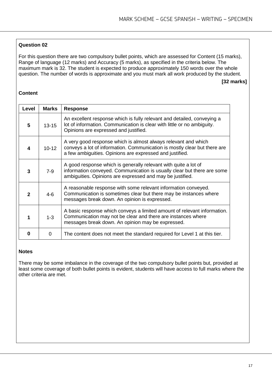For this question there are two compulsory bullet points, which are assessed for Content (15 marks), Range of language (12 marks) and Accuracy (5 marks), as specified in the criteria below. The maximum mark is 32. The student is expected to produce approximately 150 words over the whole question. The number of words is approximate and you must mark all work produced by the student.

#### **[32 marks]**

# **Content**

| Level        | <b>Marks</b> | <b>Response</b>                                                                                                                                                                                         |
|--------------|--------------|---------------------------------------------------------------------------------------------------------------------------------------------------------------------------------------------------------|
| 5            | $13 - 15$    | An excellent response which is fully relevant and detailed, conveying a<br>lot of information. Communication is clear with little or no ambiguity.<br>Opinions are expressed and justified.             |
| 4            | $10 - 12$    | A very good response which is almost always relevant and which<br>conveys a lot of information. Communication is mostly clear but there are<br>a few ambiguities. Opinions are expressed and justified. |
| 3            | $7-9$        | A good response which is generally relevant with quite a lot of<br>information conveyed. Communication is usually clear but there are some<br>ambiguities. Opinions are expressed and may be justified. |
| $\mathbf{2}$ | $4 - 6$      | A reasonable response with some relevant information conveyed.<br>Communication is sometimes clear but there may be instances where<br>messages break down. An opinion is expressed.                    |
|              | $1 - 3$      | A basic response which conveys a limited amount of relevant information.<br>Communication may not be clear and there are instances where<br>messages break down. An opinion may be expressed.           |
| O            | 0            | The content does not meet the standard required for Level 1 at this tier.                                                                                                                               |

#### **Notes**

There may be some imbalance in the coverage of the two compulsory bullet points but, provided at least some coverage of both bullet points is evident, students will have access to full marks where the other criteria are met.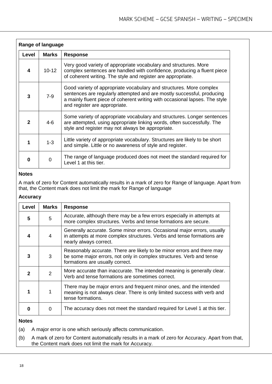|       | <b>Range of language</b> |                                                                                                                                                                                                                                                               |  |
|-------|--------------------------|---------------------------------------------------------------------------------------------------------------------------------------------------------------------------------------------------------------------------------------------------------------|--|
| Level | <b>Marks</b>             | <b>Response</b>                                                                                                                                                                                                                                               |  |
| 4     | $10 - 12$                | Very good variety of appropriate vocabulary and structures. More<br>complex sentences are handled with confidence, producing a fluent piece<br>of coherent writing. The style and register are appropriate.                                                   |  |
| 3     | $7-9$                    | Good variety of appropriate vocabulary and structures. More complex<br>sentences are regularly attempted and are mostly successful, producing<br>a mainly fluent piece of coherent writing with occasional lapses. The style<br>and register are appropriate. |  |
| 2     | $4 - 6$                  | Some variety of appropriate vocabulary and structures. Longer sentences<br>are attempted, using appropriate linking words, often successfully. The<br>style and register may not always be appropriate.                                                       |  |
|       | $1 - 3$                  | Little variety of appropriate vocabulary. Structures are likely to be short<br>and simple. Little or no awareness of style and register.                                                                                                                      |  |
| O     | $\mathbf 0$              | The range of language produced does not meet the standard required for<br>Level 1 at this tier.                                                                                                                                                               |  |

# **Notes**

A mark of zero for Content automatically results in a mark of zero for Range of language. Apart from that, the Content mark does not limit the mark for Range of language

# **Accuracy**

| Level | <b>Marks</b>   | <b>Response</b>                                                                                                                                                                   |
|-------|----------------|-----------------------------------------------------------------------------------------------------------------------------------------------------------------------------------|
| 5     | 5              | Accurate, although there may be a few errors especially in attempts at<br>more complex structures. Verbs and tense formations are secure.                                         |
| 4     | $\overline{4}$ | Generally accurate. Some minor errors. Occasional major errors, usually<br>in attempts at more complex structures. Verbs and tense formations are<br>nearly always correct.       |
| 3     | 3              | Reasonably accurate. There are likely to be minor errors and there may<br>be some major errors, not only in complex structures. Verb and tense<br>formations are usually correct. |
| 2     | 2              | More accurate than inaccurate. The intended meaning is generally clear.<br>Verb and tense formations are sometimes correct.                                                       |
|       |                | There may be major errors and frequent minor ones, and the intended<br>meaning is not always clear. There is only limited success with verb and<br>tense formations.              |
| n     | $\Omega$       | The accuracy does not meet the standard required for Level 1 at this tier.                                                                                                        |

#### **Notes**

(a) A major error is one which seriously affects communication.

(b) A mark of zero for Content automatically results in a mark of zero for Accuracy. Apart from that, the Content mark does not limit the mark for Accuracy.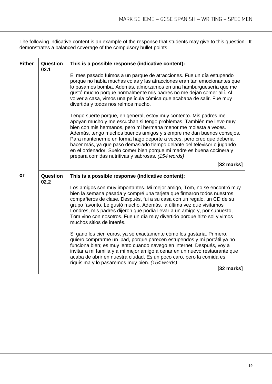The following indicative content is an example of the response that students may give to this question. It demonstrates a balanced coverage of the compulsory bullet points

| <b>Either</b> | Question<br>02.1 | This is a possible response (indicative content):                                                                                                                                                                                                                                                                                                                                                                                                                                                                                                                       |
|---------------|------------------|-------------------------------------------------------------------------------------------------------------------------------------------------------------------------------------------------------------------------------------------------------------------------------------------------------------------------------------------------------------------------------------------------------------------------------------------------------------------------------------------------------------------------------------------------------------------------|
|               |                  | El mes pasado fuimos a un parque de atracciones. Fue un día estupendo<br>porque no había muchas colas y las atracciones eran tan emocionantes que<br>lo pasamos bomba. Además, almorzamos en una hamburguesería que me<br>gustó mucho porque normalmente mis padres no me dejan comer allí. Al<br>volver a casa, vimos una película cómica que acababa de salir. Fue muy<br>divertida y todos nos reímos mucho.                                                                                                                                                         |
|               |                  | Tengo suerte porque, en general, estoy muy contento. Mis padres me<br>apoyan mucho y me escuchan si tengo problemas. También me llevo muy<br>bien con mis hermanos, pero mi hermana menor me molesta a veces.<br>Además, tengo muchos buenos amigos y siempre me dan buenos consejos.<br>Para mantenerme en forma hago deporte a veces, pero creo que debería<br>hacer más, ya que paso demasiado tiempo delante del televisor o jugando<br>en el ordenador. Suelo comer bien porque mi madre es buena cocinera y<br>prepara comidas nutritivas y sabrosas. (154 words) |
|               |                  | [32 marks]                                                                                                                                                                                                                                                                                                                                                                                                                                                                                                                                                              |
| or            | Question<br>02.2 | This is a possible response (indicative content):                                                                                                                                                                                                                                                                                                                                                                                                                                                                                                                       |
|               |                  | Los amigos son muy importantes. Mi mejor amigo, Tom, no se encontró muy<br>bien la semana pasada y compré una tarjeta que firmaron todos nuestros<br>compañeros de clase. Después, fui a su casa con un regalo, un CD de su<br>grupo favorito. Le gustó mucho. Además, la última vez que visitamos<br>Londres, mis padres dijeron que podía llevar a un amigo y, por supuesto,<br>Tom vino con nosotros. Fue un día muy divertido porque hizo sol y vimos<br>muchos sitios de interés.                                                                                  |
|               |                  | Si gano los cien euros, ya sé exactamente cómo los gastaría. Primero,<br>quiero comprarme un ipad, porque parecen estupendos y mi portátil ya no<br>funciona bien; es muy lento cuando navego en internet. Después, voy a<br>invitar a mi familia y a mi mejor amigo a cenar en un nuevo restaurante que<br>acaba de abrir en nuestra ciudad. Es un poco caro, pero la comida es<br>riquísima y lo pasaremos muy bien. (154 words)                                                                                                                                      |
|               |                  | $[32$ marks]                                                                                                                                                                                                                                                                                                                                                                                                                                                                                                                                                            |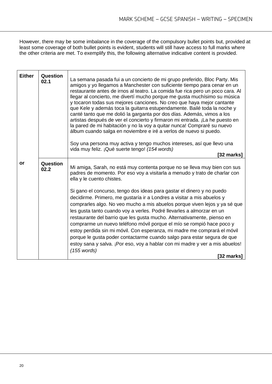However, there may be some imbalance in the coverage of the compulsory bullet points but, provided at least some coverage of both bullet points is evident, students will still have access to full marks where the other criteria are met. To exemplify this, the following alternative indicative content is provided.

| <b>Either</b> | Question<br>02.1 | La semana pasada fui a un concierto de mi grupo preferido, Bloc Party. Mis<br>amigos y yo llegamos a Manchester con suficiente tiempo para cenar en un<br>restaurante antes de irnos al teatro. La comida fue rica pero un poco cara. Al<br>llegar al concierto, me divertí mucho porque me gusta muchísimo su música<br>y tocaron todas sus mejores canciones. No creo que haya mejor cantante<br>que Kele y además toca la guitarra estupendamente. Bailé toda la noche y<br>canté tanto que me dolió la garganta por dos días. Además, vimos a los<br>artistas después de ver el concierto y firmaron mi entrada. ¡La he puesto en<br>la pared de mi habitación y no la voy a quitar nunca! Compraré su nuevo<br>álbum cuando salga en noviembre e iré a verlos de nuevo si puedo.<br>Soy una persona muy activa y tengo muchos intereses, así que llevo una<br>vida muy feliz. ¡Qué suerte tengo! (154 words)<br>[32 marks] |
|---------------|------------------|---------------------------------------------------------------------------------------------------------------------------------------------------------------------------------------------------------------------------------------------------------------------------------------------------------------------------------------------------------------------------------------------------------------------------------------------------------------------------------------------------------------------------------------------------------------------------------------------------------------------------------------------------------------------------------------------------------------------------------------------------------------------------------------------------------------------------------------------------------------------------------------------------------------------------------|
| or            | <b>Question</b>  |                                                                                                                                                                                                                                                                                                                                                                                                                                                                                                                                                                                                                                                                                                                                                                                                                                                                                                                                 |
|               | 02.2             | Mi amiga, Sarah, no está muy contenta porque no se lleva muy bien con sus<br>padres de momento. Por eso voy a visitarla a menudo y trato de charlar con<br>ella y le cuento chistes.                                                                                                                                                                                                                                                                                                                                                                                                                                                                                                                                                                                                                                                                                                                                            |
|               |                  | Si gano el concurso, tengo dos ideas para gastar el dinero y no puedo<br>decidirme. Primero, me gustaría ir a Londres a visitar a mis abuelos y<br>comprarles algo. No veo mucho a mis abuelos porque viven lejos y ya sé que                                                                                                                                                                                                                                                                                                                                                                                                                                                                                                                                                                                                                                                                                                   |
|               |                  | les gusta tanto cuando voy a verles. Podré llevarles a almorzar en un<br>restaurante del barrio que les gusta mucho. Alternativamente, pienso en                                                                                                                                                                                                                                                                                                                                                                                                                                                                                                                                                                                                                                                                                                                                                                                |
|               |                  | comprarme un nuevo teléfono móvil porque el mío se rompió hace poco y                                                                                                                                                                                                                                                                                                                                                                                                                                                                                                                                                                                                                                                                                                                                                                                                                                                           |
|               |                  | estoy perdida sin mi móvil. Con esperanza, mi madre me comprará el móvil                                                                                                                                                                                                                                                                                                                                                                                                                                                                                                                                                                                                                                                                                                                                                                                                                                                        |
|               |                  | porque le gusta poder contactarme cuando salgo para estar segura de que<br>estoy sana y salva. ¡Por eso, voy a hablar con mi madre y ver a mis abuelos!                                                                                                                                                                                                                                                                                                                                                                                                                                                                                                                                                                                                                                                                                                                                                                         |
|               |                  | $(155$ words)                                                                                                                                                                                                                                                                                                                                                                                                                                                                                                                                                                                                                                                                                                                                                                                                                                                                                                                   |
|               |                  | [32 marks]                                                                                                                                                                                                                                                                                                                                                                                                                                                                                                                                                                                                                                                                                                                                                                                                                                                                                                                      |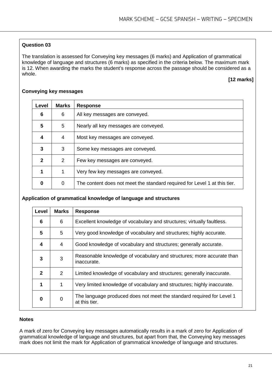The translation is assessed for Conveying key messages (6 marks) and Application of grammatical knowledge of language and structures (6 marks) as specified in the criteria below. The maximum mark is 12. When awarding the marks the student's response across the passage should be considered as a whole.

# **[12 marks]**

| Level        | <b>Marks</b> | <b>Response</b>                                                           |
|--------------|--------------|---------------------------------------------------------------------------|
| 6            | 6            | All key messages are conveyed.                                            |
| 5            | 5            | Nearly all key messages are conveyed.                                     |
| 4            | 4            | Most key messages are conveyed.                                           |
| 3            | 3            | Some key messages are conveyed.                                           |
| $\mathbf{2}$ | 2            | Few key messages are conveyed.                                            |
|              |              | Very few key messages are conveyed.                                       |
|              | 0            | The content does not meet the standard required for Level 1 at this tier. |

#### **Conveying key messages**

#### **Application of grammatical knowledge of language and structures**

| Level          | <b>Marks</b>   | <b>Response</b>                                                                        |
|----------------|----------------|----------------------------------------------------------------------------------------|
| 6              | 6              | Excellent knowledge of vocabulary and structures; virtually faultless.                 |
| $5\phantom{1}$ | 5              | Very good knowledge of vocabulary and structures; highly accurate.                     |
| 4              | 4              | Good knowledge of vocabulary and structures; generally accurate.                       |
| 3              | 3              | Reasonable knowledge of vocabulary and structures; more accurate than<br>inaccurate.   |
| $\mathbf{2}$   | 2              | Limited knowledge of vocabulary and structures; generally inaccurate.                  |
| 1              | 1              | Very limited knowledge of vocabulary and structures; highly inaccurate.                |
| 0              | $\overline{0}$ | The language produced does not meet the standard required for Level 1<br>at this tier. |

#### **Notes**

A mark of zero for Conveying key messages automatically results in a mark of zero for Application of grammatical knowledge of language and structures, but apart from that, the Conveying key messages mark does not limit the mark for Application of grammatical knowledge of language and structures.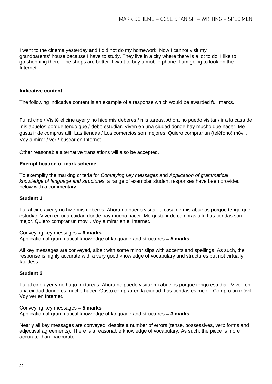I went to the cinema yesterday and I did not do my homework. Now I cannot visit my grandparents' house because I have to study. They live in a city where there is a lot to do. I like to go shopping there. The shops are better. I want to buy a mobile phone. I am going to look on the Internet.

#### **Indicative content**

The following indicative content is an example of a response which would be awarded full marks.

Fui al cine / Visité el cine ayer y no hice mis deberes / mis tareas. Ahora no puedo visitar / ir a la casa de mis abuelos porque tengo que / debo estudiar. Viven en una ciudad donde hay mucho que hacer. Me gusta ir de compras allí. Las tiendas / Los comercios son mejores. Quiero comprar un (teléfono) móvil. Voy a mirar / ver / buscar en Internet.

Other reasonable alternative translations will also be accepted.

#### **Exemplification of mark scheme**

To exemplify the marking criteria for *Conveying key messages* and *Application of grammatical knowledge of language and structures*, a range of exemplar student responses have been provided below with a commentary.

#### **Student 1**

Fuí al cine ayer y no hize mis deberes. Ahora no puedo visitar la casa de mis abuelos porque tengo que estudiar. Viven en una cuidad donde hay mucho hacer. Me gusta ir de compras allí. Las tiendas son mejor. Quiero comprar un movil. Voy a mirar en el Internet.

# Conveying key messages = **6 marks**

Application of grammatical knowledge of language and structures = **5 marks**

All key messages are conveyed, albeit with some minor slips with accents and spellings. As such, the response is highly accurate with a very good knowledge of vocabulary and structures but not virtually faultless.

#### **Student 2**

Fui al cine ayer y no hago mi tareas. Ahora no puedo visitar mi abuelos porque tengo estudiar. Viven en una ciudad donde es mucho hacer. Gusto comprar en la ciudad. Las tiendas es mejor. Compro un móvil. Voy ver en Internet.

Conveying key messages = **5 marks** Application of grammatical knowledge of language and structures = **3 marks**

Nearly all key messages are conveyed, despite a number of errors (tense, possessives, verb forms and adjectival agreements). There is a reasonable knowledge of vocabulary. As such, the piece is more accurate than inaccurate.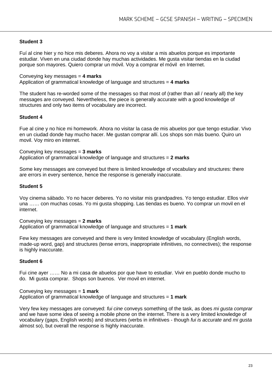# **Student 3**

Fuí al cine hier y no hice mis deberes. Ahora no voy a visitar a mis abuelos porque es importante estudiar. Viven en una ciudad donde hay muchas actividades. Me gusta visitar tiendas en la ciudad porque son mayores. Quiero comprar un móvil. Voy a comprar el móvil en Internet.

#### Conveying key messages = **4 marks**

Application of grammatical knowledge of language and structures = **4 marks**

The student has re-worded some of the messages so that most of (rather than all / nearly all) the key messages are conveyed. Nevertheless, the piece is generally accurate with a good knowledge of structures and only two items of vocabulary are incorrect.

#### **Student 4**

Fue al cine y no hice mi homework. Ahora no visitar la casa de mis abuelos por que tengo estudiar. Vivo en un ciudad donde hay mucho hacer. Me gustan comprar allí. Los shops son más bueno. Quiro un movil. Voy miro en internet.

Conveying key messages = **3 marks** Application of grammatical knowledge of language and structures = **2 marks**

Some key messages are conveyed but there is limited knowledge of vocabulary and structures: there are errors in every sentence, hence the response is generally inaccurate.

#### **Student 5**

Voy cinema sábado. Yo no hacer deberes. Yo no visitar mis grandpadres. Yo tengo estudiar. Ellos vivir una …… con muchas cosas. Yo mi gusta shopping. Las tiendas es bueno. Yo comprar un movil en el internet.

Conveying key messages = **2 marks** Application of grammatical knowledge of language and structures = **1 mark**

Few key messages are conveyed and there is very limited knowledge of vocabulary (English words, made-up word, gap) and structures (tense errors, inappropriate infinitives, no connectives); the response is highly inaccurate.

#### **Student 6**

Fui cine ayer …… No a mi casa de abuelos por que have to estudiar. Vivir en pueblo donde mucho to do. Mi gusta comprar. Shops son buenos. Ver movil en internet.

Conveying key messages = **1 mark** Application of grammatical knowledge of language and structures = **1 mark**

Very few key messages are conveyed: *fui cine* conveys something of the task, as does *mi gusta comprar*  and we have some idea of seeing a mobile phone on the internet. There is a very limited knowledge of vocabulary (gaps, English words) and structures (verbs in infinitives - though *fui is accurate* and *mi gusta* almost so), but overall the response is highly inaccurate.